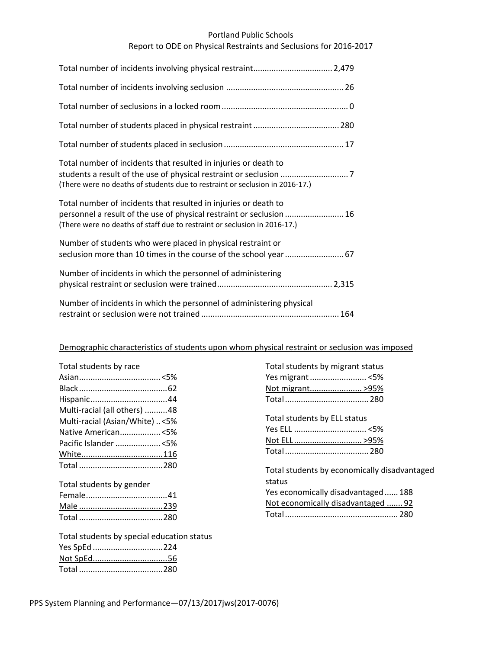## Portland Public Schools

# Report to ODE on Physical Restraints and Seclusions for 2016‐2017

| Total number of incidents that resulted in injuries or death to<br>(There were no deaths of students due to restraint or seclusion in 2016-17.)                                                                      |
|----------------------------------------------------------------------------------------------------------------------------------------------------------------------------------------------------------------------|
| Total number of incidents that resulted in injuries or death to<br>personnel a result of the use of physical restraint or seclusion  16<br>(There were no deaths of staff due to restraint or seclusion in 2016-17.) |
| Number of students who were placed in physical restraint or<br>seclusion more than 10 times in the course of the school year 67                                                                                      |
| Number of incidents in which the personnel of administering                                                                                                                                                          |
| Number of incidents in which the personnel of administering physical                                                                                                                                                 |

# Demographic characteristics of students upon whom physical restraint or seclusion was imposed

| Total students by race         |  |
|--------------------------------|--|
|                                |  |
|                                |  |
|                                |  |
| Multi-racial (all others) 48   |  |
| Multi-racial (Asian/White) <5% |  |
| Native American<5%             |  |
| Pacific Islander <5%           |  |
|                                |  |
|                                |  |
|                                |  |

| Total students by gender |  |
|--------------------------|--|
|                          |  |
|                          |  |
|                          |  |

Total students by special education status Yes SpEd ...............................224 Not SpEd.................................56 Total .....................................280

| Total students by migrant status |  |
|----------------------------------|--|
|                                  |  |
| Not migrant>95%                  |  |
|                                  |  |

Total students by ELL status

| Not ELL >95% |  |
|--------------|--|
|              |  |

Total students by economically disadvantaged status

| Yes economically disadvantaged 188 |  |
|------------------------------------|--|
| Not economically disadvantaged  92 |  |
|                                    |  |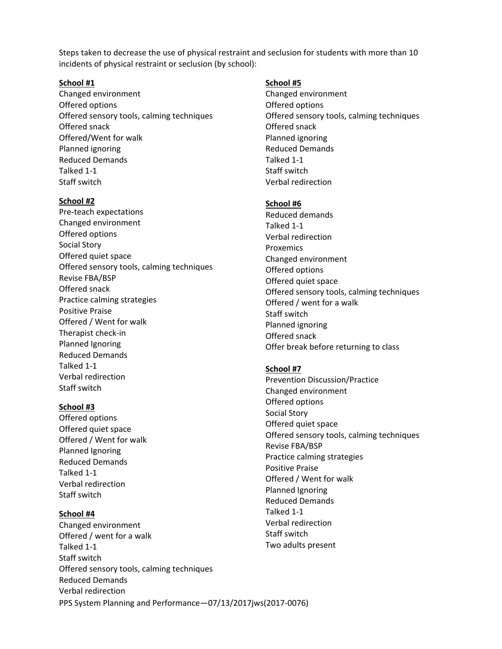Steps taken to decrease the use of physical restraint and seclusion for students with more than 10 incidents of physical restraint or seclusion (by school):

## **School #1**

Changed environment Offered options Offered sensory tools, calming techniques Offered snack Offered/Went for walk Planned ignoring Reduced Demands Talked 1‐1 Staff switch

#### **School #2**

Pre‐teach expectations Changed environment Offered options Social Story Offered quiet space Offered sensory tools, calming techniques Revise FBA/BSP Offered snack Practice calming strategies Positive Praise Offered / Went for walk Therapist check‐in Planned Ignoring Reduced Demands Talked 1‐1 Verbal redirection Staff switch

#### **School #3**

Offered options Offered quiet space Offered / Went for walk Planned Ignoring Reduced Demands Talked 1‐1 Verbal redirection Staff switch

## **School #4**

PPS System Planning and Performance—07/13/2017jws(2017‐0076) Changed environment Offered / went for a walk Talked 1‐1 Staff switch Offered sensory tools, calming techniques Reduced Demands Verbal redirection

#### **School #5**

Changed environment Offered options Offered sensory tools, calming techniques Offered snack Planned ignoring Reduced Demands Talked 1‐1 Staff switch Verbal redirection

#### **School #6**

Reduced demands Talked 1‐1 Verbal redirection Proxemics Changed environment Offered options Offered quiet space Offered sensory tools, calming techniques Offered / went for a walk Staff switch Planned ignoring Offered snack Offer break before returning to class

#### **School #7**

Prevention Discussion/Practice Changed environment Offered options Social Story Offered quiet space Offered sensory tools, calming techniques Revise FBA/BSP Practice calming strategies Positive Praise Offered / Went for walk Planned Ignoring Reduced Demands Talked 1‐1 Verbal redirection Staff switch Two adults present